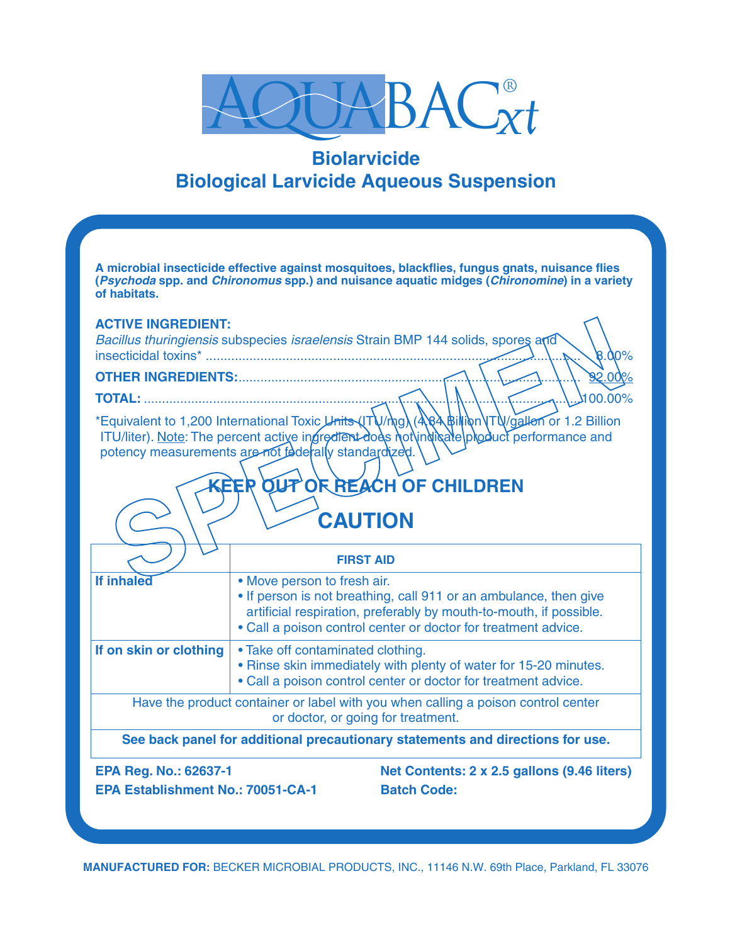

# **Biolarvicide Biological Larvicide Aqueous Suspension**

**SPECIMEN A microbial insecticide effective against mosquitoes, blackflies, fungus gnats, nuisance flies (***Psychoda* **spp. and** *Chironomus* **spp.) and nuisance aquatic midges (***Chironomine***) in a variety of habitats. ACTIVE INGREDIENT:** *Bacillus thuringiensis* subspecies *israelensis* Strain BMP 144 solids, spores and insecticidal toxins\* ....................................................................................................... 8.00% **OTHER INGREDIENTS:....................... TOTAL:** ........................................................................................................................100.00% \*Equivalent to 1,200 International Toxic Units (ITU/mg) (4.84 Billion VTU/gallon or 1.2 Billion ITU/liter). Note: The percent active ingredient does not indicate product performance and potency measurements are not federally standardized. *<u>OF REACH OF CHILDREN</u>* **CAUTION FIRST AID If inhaled** • Move person to fresh air. • If person is not breathing, call 911 or an ambulance, then give artificial respiration, preferably by mouth-to-mouth, if possible. • Call a poison control center or doctor for treatment advice. **If on skin or clothing** • Take off contaminated clothing. • Rinse skin immediately with plenty of water for 15-20 minutes. • Call a poison control center or doctor for treatment advice. Have the product container or label with you when calling a poison control center or doctor, or going for treatment. **See back panel for additional precautionary statements and directions for use. EPA Reg. No.: 62637-1 Net Contents: 2 x 2.5 gallons (9.46 liters) EPA Establishment No.: 70051-CA-1 Batch Code:**